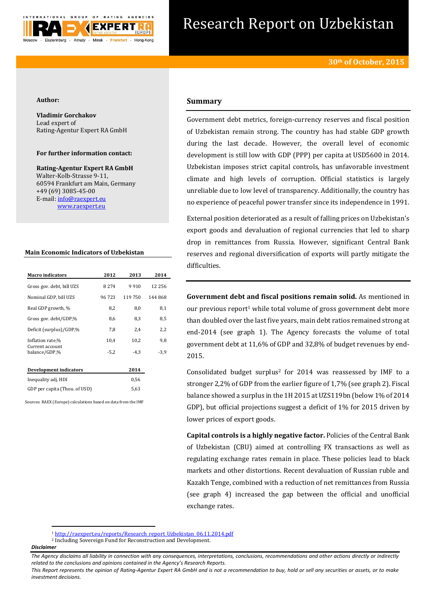

# Research Report on Uzbekistan

### **Author:**

**Vladimir Gorchakov** Lead expert of Rating-Agentur Expert RA GmbH

## **For further information contact:**

**Rating-Agentur Expert RA GmbH** Walter-Kolb-Strasse 9-11, 60594 Frankfurt am Main, Germany +49 (69) 3085-45-00 E-mail[: info@raexpert.eu](mailto:info@raexpert.eu) [www.raexpert.eu](http://raexpert.eu/)

## **Main Economic Indicators of Uzbekistan**

| <b>Macro</b> indicators          | 2012    | 2013   | 2014     |
|----------------------------------|---------|--------|----------|
| Gross gov. debt, bill UZS        | 8 2 7 4 | 9910   | 12 2 5 6 |
| Nominal GDP, bill UZS            | 96723   | 119750 | 144 868  |
| Real GDP growth, %               | 8,2     | 8,0    | 8,1      |
| Gross gov. debt/GDP,%            | 8,6     | 8,3    | 8,5      |
| Deficit (surplus)/GDP,%          | 7,8     | 2.4    | 2,2      |
| Inflation rate,%                 | 10.4    | 10,2   | 9,8      |
| Current account<br>balance/GDP,% | $-5.2$  | $-4.3$ | $-3.9$   |
| Development indicators           |         | 2014   |          |
| Inequality adj. HDI              |         | 0,56   |          |

GDP per capita (Thou. of USD) 5,63 Sources: RAEX (Europe) calculations based on data from the IMF

# **Summary**

Government debt metrics, foreign-currency reserves and fiscal position of Uzbekistan remain strong. The country has had stable GDP growth during the last decade. However, the overall level of economic development is still low with GDP (PPP) per capita at USD5600 in 2014. Uzbekistan imposes strict capital controls, has unfavorable investment climate and high levels of corruption. Official statistics is largely unreliable due to low level of transparency. Additionally, the country has no experience of peaceful power transfer since its independence in 1991.

External position deteriorated as a result of falling prices on Uzbekistan's export goods and devaluation of regional currencies that led to sharp drop in remittances from Russia. However, significant Central Bank reserves and regional diversification of exports will partly mitigate the difficulties.

**Government debt and fiscal positions remain solid.** As mentioned in our previous report<sup>1</sup> while total volume of gross government debt more than doubled over the last five years, main debt ratios remained strong at end-2014 (see graph 1). The Agency forecasts the volume of total government debt at 11,6% of GDP and 32,8% of budget revenues by end-2015.

Consolidated budget surplus<sup>2</sup> for 2014 was reassessed by IMF to a stronger 2,2% of GDP from the earlier figure of 1,7% (see graph 2). Fiscal balance showed a surplus in the 1H 2015 at UZS119bn (below 1% of 2014 GDP), but official projections suggest a deficit of 1% for 2015 driven by lower prices of export goods.

**Capital controls is a highly negative factor.** Policies of the Central Bank of Uzbekistan (CBU) aimed at controlling FX transactions as well as regulating exchange rates remain in place. These policies lead to black markets and other distortions. Recent devaluation of Russian ruble and Kazakh Tenge, combined with a reduction of net remittances from Russia (see graph 4) increased the gap between the official and unofficial exchange rates.

**.** 

<sup>1</sup> [http://raexpert.eu/reports/Research\\_report\\_Uzbekistan\\_06.11.2014.pdf](http://raexpert.eu/reports/Research_report_Uzbekistan_06.11.2014.pdf)

<sup>2</sup> Including Sovereign Fund for Reconstruction and Development.

*Disclaimer* 

*The Agency disclaims all liability in connection with any consequences, interpretations, conclusions, recommendations and other actions directly or indirectly related to the conclusions and opinions contained in the Agency's Research Reports.*

*This Report represents the opinion of Rating-Agentur Expert RA GmbH and is not a recommendation to buy, hold or sell any securities or assets, or to make investment decisions.*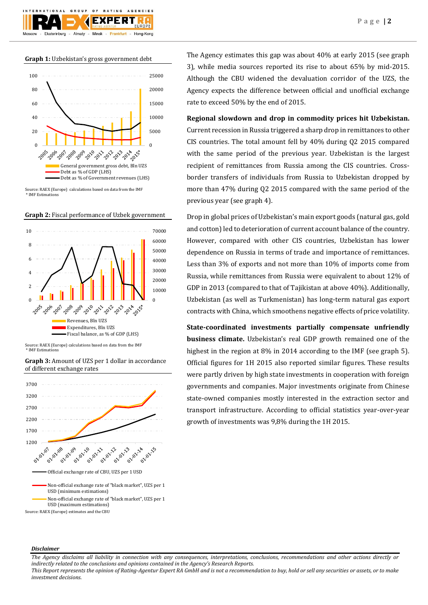**Graph 1:** Uzbekistan's gross government debt

 $O F$ 

F X I

Minsk

**BATING** 

Frankfurt

AGENCIES

Hong-Kong

GROUP

Almaty

Ekaterinburg



Source: RAEX (Europe) calculations based on data from the IMF \* IMF Estimations

**Graph 2:** Fiscal performance of Uzbek government



Source: RAEX (Europe) calculations based on data from the IMF \* IMF Estimations



**Graph 3:** Amount of UZS per 1 dollar in accordance of different exchange rates

The Agency estimates this gap was about 40% at early 2015 (see graph 3), while media sources reported its rise to about 65% by mid-2015. Although the CBU widened the devaluation corridor of the UZS, the Agency expects the difference between official and unofficial exchange rate to exceed 50% by the end of 2015.

**Regional slowdown and drop in commodity prices hit Uzbekistan.**

Current recession in Russia triggered a sharp drop in remittances to other CIS countries. The total amount fell by 40% during Q2 2015 compared with the same period of the previous year. Uzbekistan is the largest recipient of remittances from Russia among the CIS countries. Crossborder transfers of individuals from Russia to Uzbekistan dropped by more than 47% during Q2 2015 compared with the same period of the previous year (see graph 4).

Drop in global prices of Uzbekistan's main export goods (natural gas, gold and cotton) led to deterioration of current account balance of the country. However, compared with other CIS countries, Uzbekistan has lower dependence on Russia in terms of trade and importance of remittances. Less than 3% of exports and not more than 10% of imports come from Russia, while remittances from Russia were equivalent to about 12% of GDP in 2013 (compared to that of Tajikistan at above 40%). Additionally, Uzbekistan (as well as Turkmenistan) has long-term natural gas export contracts with China, which smoothens negative effects of price volatility.

**State-coordinated investments partially compensate unfriendly business climate.** Uzbekistan's real GDP growth remained one of the highest in the region at 8% in 2014 according to the IMF (see graph 5). Official figures for 1H 2015 also reported similar figures. These results were partly driven by high state investments in cooperation with foreign governments and companies. Major investments originate from Chinese state-owned companies mostly interested in the extraction sector and transport infrastructure. According to official statistics year-over-year growth of investments was 9,8% during the 1H 2015.

#### *Disclaimer*

*The Agency disclaims all liability in connection with any consequences, interpretations, conclusions, recommendations and other actions directly or indirectly related to the conclusions and opinions contained in the Agency's Research Reports.*

*This Report represents the opinion of Rating-Agentur Expert RA GmbH and is not a recommendation to buy, hold or sell any securities or assets, or to make investment decisions.*